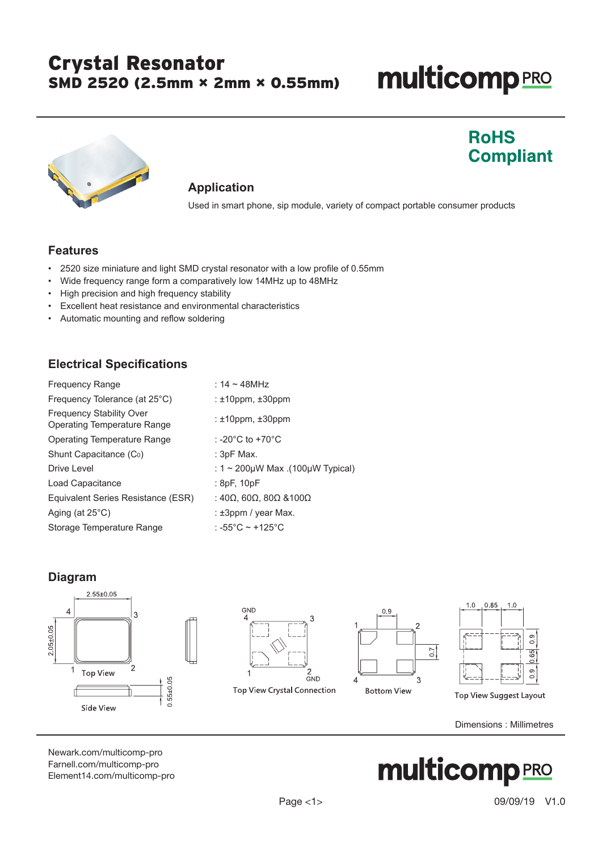### Crystal Resonator SMD 2520 (2.5mm × 2mm × 0.55mm)

## **multicomp**PRO

**RoHS** 

**Compliant** 



#### **Application**

Used in smart phone, sip module, variety of compact portable consumer products

#### **Features**

- 2520 size miniature and light SMD crystal resonator with a low profile of 0.55mm
- Wide frequency range form a comparatively low 14MHz up to 48MHz
- High precision and high frequency stability
- Excellent heat resistance and environmental characteristics
- Automatic mounting and reflow soldering

### **Electrical Specifications**

| <b>Frequency Range</b>                                         | : $14 \sim 48$ MHz                                       |
|----------------------------------------------------------------|----------------------------------------------------------|
| Frequency Tolerance (at 25°C)                                  | : $±10$ ppm, $±30$ ppm                                   |
| <b>Frequency Stability Over</b><br>Operating Temperature Range | : $±10$ ppm, $±30$ ppm                                   |
| Operating Temperature Range                                    | : -20 $^{\circ}$ C to +70 $^{\circ}$ C                   |
| Shunt Capacitance (Co)                                         | : $3pF$ Max.                                             |
| Drive Level                                                    | : 1 ~ 200µW Max .(100µW Typical)                         |
| Load Capacitance                                               | :8pF,10pF                                                |
| Equivalent Series Resistance (ESR)                             | : 40 $\Omega$ , 60 $\Omega$ , 80 $\Omega$ & 100 $\Omega$ |
| Aging (at $25^{\circ}$ C)                                      | : $±3$ ppm / year Max.                                   |
| Storage Temperature Range                                      | : -55°C ~ +125°C                                         |

#### **Diagram**



Dimensions : Millimetres

[Newark.com/multicomp-](https://www.newark.com/multicomp-pro)pro [Farnell.com/multicomp](https://www.farnell.com/multicomp-pro)-pro [Element14.com/multicomp-pro](https://element14.com/multicomp-pro)

## **multicomp**PRO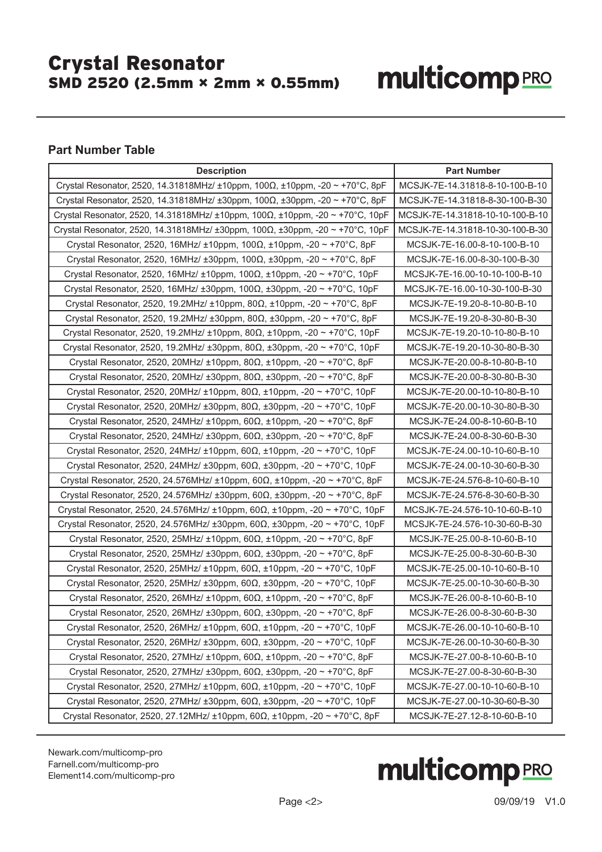### Crystal Resonator SMD 2520 (2.5mm × 2mm × 0.55mm)

# **multicomp**PRO

### **Part Number Table**

| <b>Description</b>                                                                                    | <b>Part Number</b>               |
|-------------------------------------------------------------------------------------------------------|----------------------------------|
| Crystal Resonator, 2520, 14.31818MHz/ ±10ppm, 100Ω, ±10ppm, -20 ~ +70°C, 8pF                          | MCSJK-7E-14.31818-8-10-100-B-10  |
| Crystal Resonator, 2520, 14.31818MHz/ ±30ppm, 100Ω, ±30ppm, -20 ~ +70°C, 8pF                          | MCSJK-7E-14.31818-8-30-100-B-30  |
| Crystal Resonator, 2520, 14.31818MHz/ ±10ppm, 100Ω, ±10ppm, -20 ~ +70°C, 10pF                         | MCSJK-7E-14.31818-10-10-100-B-10 |
| Crystal Resonator, 2520, 14.31818MHz/ ±30ppm, 100 $\Omega$ , ±30ppm, -20 ~ +70°C, 10pF                | MCSJK-7E-14.31818-10-30-100-B-30 |
| Crystal Resonator, 2520, 16MHz/ $\pm$ 10ppm, 100 $\Omega$ , $\pm$ 10ppm, -20 ~ +70°C, 8pF             | MCSJK-7E-16.00-8-10-100-B-10     |
| Crystal Resonator, 2520, 16MHz/ $\pm 30$ ppm, 100 $\Omega$ , $\pm 30$ ppm, -20 ~ +70°C, 8pF           | MCSJK-7E-16.00-8-30-100-B-30     |
| Crystal Resonator, 2520, 16MHz/ $\pm$ 10ppm, 100 $\Omega$ , $\pm$ 10ppm, -20 ~ +70°C, 10pF            | MCSJK-7E-16.00-10-10-100-B-10    |
| Crystal Resonator, 2520, 16MHz/ $\pm 30$ ppm, 100 $\Omega$ , $\pm 30$ ppm, -20 ~ +70°C, 10pF          | MCSJK-7E-16.00-10-30-100-B-30    |
| Crystal Resonator, 2520, 19.2MHz/ $\pm$ 10ppm, 80 $\Omega$ , $\pm$ 10ppm, -20 ~ +70 $^{\circ}$ C, 8pF | MCSJK-7E-19.20-8-10-80-B-10      |
| Crystal Resonator, 2520, 19.2ΜΗz/ ±30ppm, 80Ω, ±30ppm, -20 ~ +70°C, 8pF                               | MCSJK-7E-19.20-8-30-80-B-30      |
| Crystal Resonator, 2520, 19.2ΜΗz/ ±10ppm, 80Ω, ±10ppm, -20 ~ +70°C, 10pF                              | MCSJK-7E-19.20-10-10-80-B-10     |
| Crystal Resonator, 2520, 19.2ΜΗz/ ±30ppm, 80Ω, ±30ppm, -20 ~ +70°C, 10pF                              | MCSJK-7E-19.20-10-30-80-B-30     |
| Crystal Resonator, 2520, 20MHz/ $\pm$ 10ppm, 80 $\Omega$ , $\pm$ 10ppm, -20 ~ +70°C, 8pF              | MCSJK-7E-20.00-8-10-80-B-10      |
| Crystal Resonator, 2520, 20ΜΗz/ ±30ppm, 80Ω, ±30ppm, -20 ~ +70°C, 8pF                                 | MCSJK-7E-20.00-8-30-80-B-30      |
| Crystal Resonator, 2520, 20MHz/ $\pm$ 10ppm, 80 $\Omega$ , $\pm$ 10ppm, -20 ~ +70°C, 10pF             | MCSJK-7E-20.00-10-10-80-B-10     |
| Crystal Resonator, 2520, 20MHz/ $\pm 30$ ppm, 80 $\Omega$ , $\pm 30$ ppm, -20 ~ +70°C, 10pF           | MCSJK-7E-20.00-10-30-80-B-30     |
| Crystal Resonator, 2520, 24MHz/ ±10ppm, 60Ω, ±10ppm, -20 ~ +70°C, 8pF                                 | MCSJK-7E-24.00-8-10-60-B-10      |
| Crystal Resonator, 2520, 24MHz/ $\pm 30$ ppm, 60 $\Omega$ , $\pm 30$ ppm, -20 ~ +70°C, 8pF            | MCSJK-7E-24.00-8-30-60-B-30      |
| Crystal Resonator, 2520, 24MHz/ ±10ppm, 60Ω, ±10ppm, -20 ~ +70°C, 10pF                                | MCSJK-7E-24.00-10-10-60-B-10     |
| Crystal Resonator, 2520, 24MHz/ $\pm 30$ ppm, 60 $\Omega$ , $\pm 30$ ppm, -20 ~ +70°C, 10pF           | MCSJK-7E-24.00-10-30-60-B-30     |
| Crystal Resonator, 2520, 24.576MHz/ ±10ppm, 60Ω, ±10ppm, -20 ~ +70°C, 8pF                             | MCSJK-7E-24.576-8-10-60-B-10     |
| Crystal Resonator, 2520, 24.576MHz/ $\pm 30$ ppm, 60 $\Omega$ , $\pm 30$ ppm, -20 ~ +70°C, 8pF        | MCSJK-7E-24.576-8-30-60-B-30     |
| Crystal Resonator, 2520, 24.576MHz/ ±10ppm, 60Ω, ±10ppm, -20 ~ +70°C, 10pF                            | MCSJK-7E-24.576-10-10-60-B-10    |
| Crystal Resonator, 2520, 24.576MHz/ ±30ppm, 60Ω, ±30ppm, -20 ~ +70°C, 10pF                            | MCSJK-7E-24.576-10-30-60-B-30    |
| Crystal Resonator, 2520, 25MHz/ $\pm$ 10ppm, 60 $\Omega$ , $\pm$ 10ppm, -20 ~ +70°C, 8pF              | MCSJK-7E-25.00-8-10-60-B-10      |
| Crystal Resonator, 2520, 25MHz/ ±30ppm, 60Ω, ±30ppm, -20 ~ +70°C, 8pF                                 | MCSJK-7E-25.00-8-30-60-B-30      |
| Crystal Resonator, 2520, 25MHz/ $\pm$ 10ppm, 60 $\Omega$ , $\pm$ 10ppm, -20 ~ +70°C, 10pF             | MCSJK-7E-25.00-10-10-60-B-10     |
| Crystal Resonator, 2520, 25MHz/ $\pm 30$ ppm, 60 $\Omega$ , $\pm 30$ ppm, -20 ~ +70°C, 10pF           | MCSJK-7E-25.00-10-30-60-B-30     |
| Crystal Resonator, 2520, 26MHz/ ±10ppm, 60Ω, ±10ppm, -20 ~ +70°C, 8pF                                 | MCSJK-7E-26.00-8-10-60-B-10      |
| Crystal Resonator, 2520, 26MHz/ ±30ppm, 60Ω, ±30ppm, -20 ~ +70°C, 8pF                                 | MCSJK-7E-26.00-8-30-60-B-30      |
| Crystal Resonator, 2520, 26MHz/ $\pm$ 10ppm, 60 $\Omega$ , $\pm$ 10ppm, -20 ~ +70°C, 10pF             | MCSJK-7E-26.00-10-10-60-B-10     |
| Crystal Resonator, 2520, 26MHz/ ±30ppm, 60Ω, ±30ppm, -20 ~ +70°C, 10pF                                | MCSJK-7E-26.00-10-30-60-B-30     |
| Crystal Resonator, 2520, 27MHz/ ±10ppm, 60Ω, ±10ppm, -20 ~ +70°C, 8pF                                 | MCSJK-7E-27.00-8-10-60-B-10      |
| Crystal Resonator, 2520, 27MHz/ ±30ppm, 60Ω, ±30ppm, -20 ~ +70°C, 8pF                                 | MCSJK-7E-27.00-8-30-60-B-30      |
| Crystal Resonator, 2520, 27ΜΗz/ ±10ppm, 60Ω, ±10ppm, -20 ~ +70°C, 10pF                                | MCSJK-7E-27.00-10-10-60-B-10     |
| Crystal Resonator, 2520, 27MHz/ ±30ppm, 60Ω, ±30ppm, -20 ~ +70°C, 10pF                                | MCSJK-7E-27.00-10-30-60-B-30     |
| Crystal Resonator, 2520, 27.12MHz/ ±10ppm, 60Ω, ±10ppm, -20 ~ +70°C, 8pF                              | MCSJK-7E-27.12-8-10-60-B-10      |

[Newark.com/multicomp-](https://www.newark.com/multicomp-pro)pro [Farnell.com/multicomp](https://www.farnell.com/multicomp-pro)-pro [Element14.com/multicomp-pro](https://element14.com/multicomp-pro)